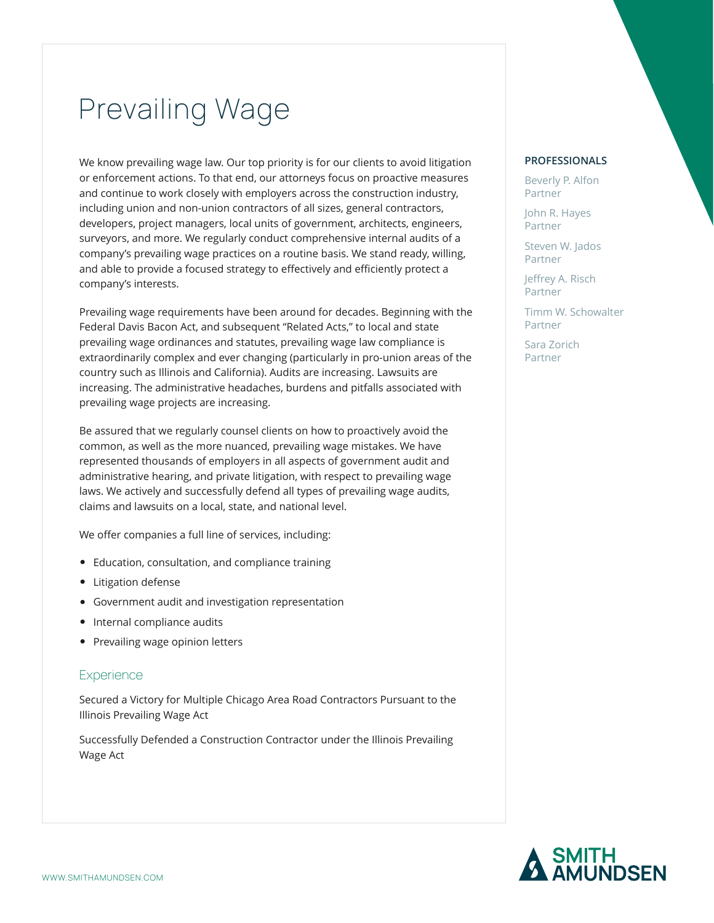# Prevailing Wage

We know prevailing wage law. Our top priority is for our clients to avoid litigation or enforcement actions. To that end, our attorneys focus on proactive measures and continue to work closely with employers across the construction industry, including union and non-union contractors of all sizes, general contractors, developers, project managers, local units of government, architects, engineers, surveyors, and more. We regularly conduct comprehensive internal audits of a company's prevailing wage practices on a routine basis. We stand ready, willing, and able to provide a focused strategy to effectively and efficiently protect a company's interests.

Prevailing wage requirements have been around for decades. Beginning with the Federal Davis Bacon Act, and subsequent "Related Acts," to local and state prevailing wage ordinances and statutes, prevailing wage law compliance is extraordinarily complex and ever changing (particularly in pro-union areas of the country such as Illinois and California). Audits are increasing. Lawsuits are increasing. The administrative headaches, burdens and pitfalls associated with prevailing wage projects are increasing.

Be assured that we regularly counsel clients on how to proactively avoid the common, as well as the more nuanced, prevailing wage mistakes. We have represented thousands of employers in all aspects of government audit and administrative hearing, and private litigation, with respect to prevailing wage laws. We actively and successfully defend all types of prevailing wage audits, claims and lawsuits on a local, state, and national level.

We offer companies a full line of services, including:

- Education, consultation, and compliance training
- Litigation defense
- Government audit and investigation representation
- Internal compliance audits
- Prevailing wage opinion letters

#### **Experience**

Secured a Victory for Multiple Chicago Area Road Contractors Pursuant to the Illinois Prevailing Wage Act

Successfully Defended a Construction Contractor under the Illinois Prevailing Wage Act

#### **PROFESSIONALS**

Beverly P. Alfon Partner

John R. Hayes Partner

Steven W. Jados Partner

Jeffrey A. Risch Partner

Timm W. Schowalter Partner

Sara Zorich Partner

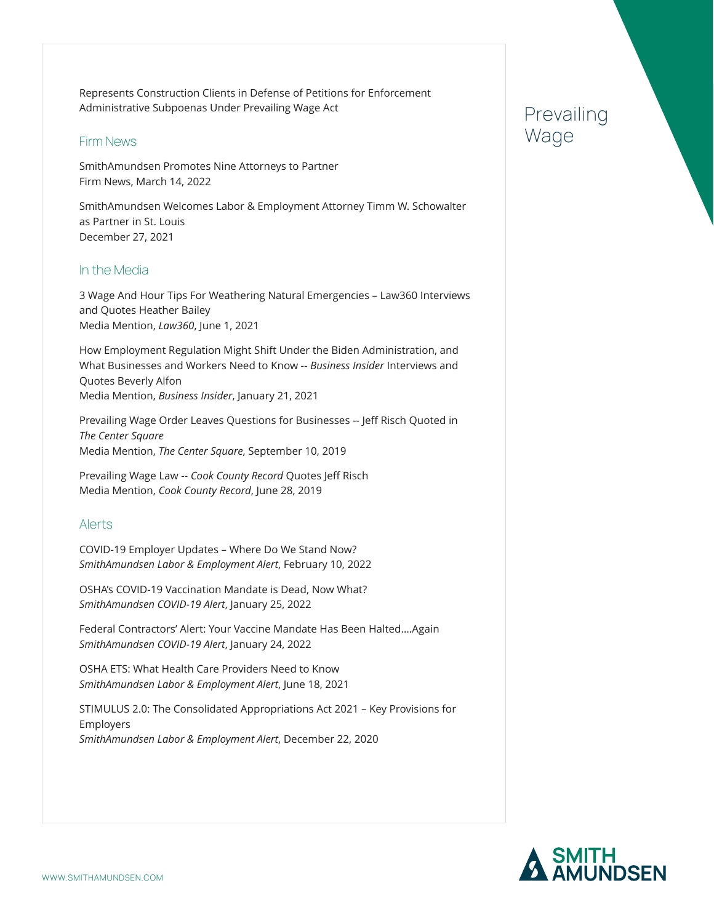Represents Construction Clients in Defense of Petitions for Enforcement Administrative Subpoenas Under Prevailing Wage Act

### Firm News

SmithAmundsen Promotes Nine Attorneys to Partner Firm News, March 14, 2022

SmithAmundsen Welcomes Labor & Employment Attorney Timm W. Schowalter as Partner in St. Louis December 27, 2021

### In the Media

3 Wage And Hour Tips For Weathering Natural Emergencies – Law360 Interviews and Quotes Heather Bailey Media Mention, *Law360*, June 1, 2021

How Employment Regulation Might Shift Under the Biden Administration, and What Businesses and Workers Need to Know -- *Business Insider* Interviews and Quotes Beverly Alfon Media Mention, *Business Insider*, January 21, 2021

Prevailing Wage Order Leaves Questions for Businesses -- Jeff Risch Quoted in *The Center Square* Media Mention, *The Center Square*, September 10, 2019

Prevailing Wage Law -- *Cook County Record* Quotes Jeff Risch Media Mention, *Cook County Record*, June 28, 2019

### Alerts

COVID-19 Employer Updates – Where Do We Stand Now? *SmithAmundsen Labor & Employment Alert*, February 10, 2022

OSHA's COVID-19 Vaccination Mandate is Dead, Now What? *SmithAmundsen COVID-19 Alert*, January 25, 2022

Federal Contractors' Alert: Your Vaccine Mandate Has Been Halted….Again *SmithAmundsen COVID-19 Alert*, January 24, 2022

OSHA ETS: What Health Care Providers Need to Know *SmithAmundsen Labor & Employment Alert*, June 18, 2021

STIMULUS 2.0: The Consolidated Appropriations Act 2021 – Key Provisions for Employers *SmithAmundsen Labor & Employment Alert*, December 22, 2020

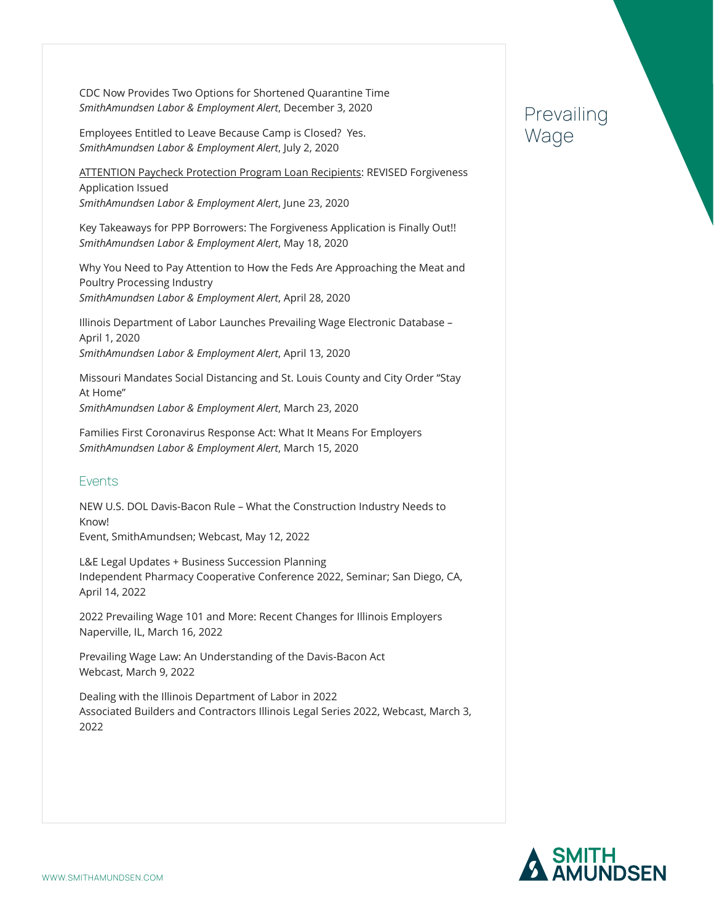CDC Now Provides Two Options for Shortened Quarantine Time *SmithAmundsen Labor & Employment Alert*, December 3, 2020

Employees Entitled to Leave Because Camp is Closed? Yes. *SmithAmundsen Labor & Employment Alert*, July 2, 2020

**ATTENTION Paycheck Protection Program Loan Recipients: REVISED Forgiveness** Application Issued *SmithAmundsen Labor & Employment Alert*, June 23, 2020

Key Takeaways for PPP Borrowers: The Forgiveness Application is Finally Out!! *SmithAmundsen Labor & Employment Alert*, May 18, 2020

Why You Need to Pay Attention to How the Feds Are Approaching the Meat and Poultry Processing Industry *SmithAmundsen Labor & Employment Alert*, April 28, 2020

Illinois Department of Labor Launches Prevailing Wage Electronic Database – April 1, 2020 *SmithAmundsen Labor & Employment Alert*, April 13, 2020

Missouri Mandates Social Distancing and St. Louis County and City Order "Stay At Home" *SmithAmundsen Labor & Employment Alert*, March 23, 2020

Families First Coronavirus Response Act: What It Means For Employers *SmithAmundsen Labor & Employment Alert*, March 15, 2020

### Events

NEW U.S. DOL Davis-Bacon Rule – What the Construction Industry Needs to Know! Event, SmithAmundsen; Webcast, May 12, 2022

L&E Legal Updates + Business Succession Planning Independent Pharmacy Cooperative Conference 2022, Seminar; San Diego, CA, April 14, 2022

2022 Prevailing Wage 101 and More: Recent Changes for Illinois Employers Naperville, IL, March 16, 2022

Prevailing Wage Law: An Understanding of the Davis-Bacon Act Webcast, March 9, 2022

Dealing with the Illinois Department of Labor in 2022 Associated Builders and Contractors Illinois Legal Series 2022, Webcast, March 3, 2022

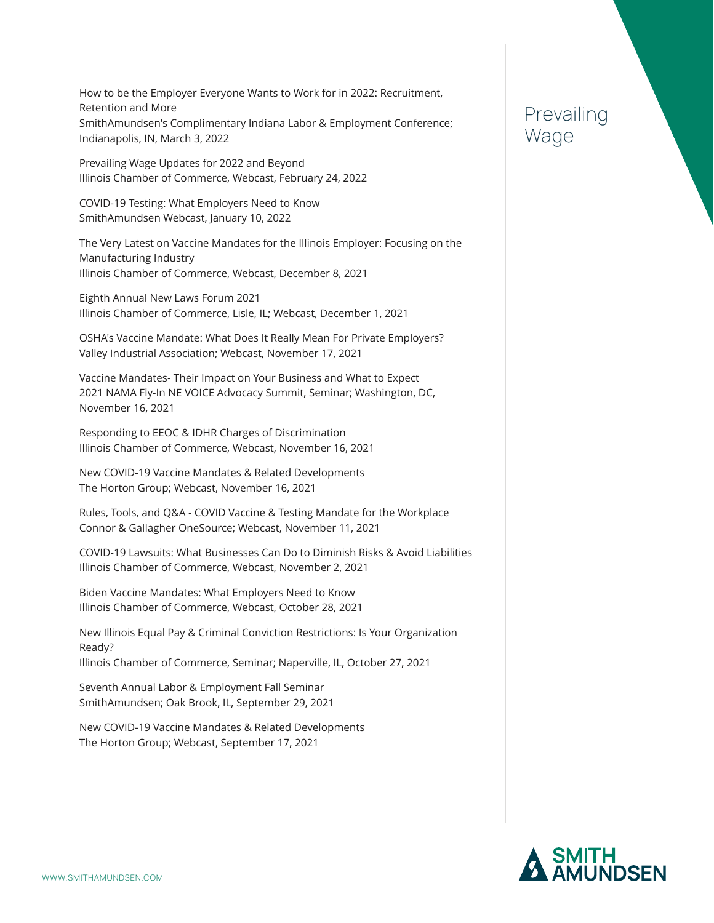How to be the Employer Everyone Wants to Work for in 2022: Recruitment, Retention and More SmithAmundsen's Complimentary Indiana Labor & Employment Conference; Indianapolis, IN, March 3, 2022

Prevailing Wage Updates for 2022 and Beyond Illinois Chamber of Commerce, Webcast, February 24, 2022

COVID-19 Testing: What Employers Need to Know SmithAmundsen Webcast, January 10, 2022

The Very Latest on Vaccine Mandates for the Illinois Employer: Focusing on the Manufacturing Industry Illinois Chamber of Commerce, Webcast, December 8, 2021

Eighth Annual New Laws Forum 2021 Illinois Chamber of Commerce, Lisle, IL; Webcast, December 1, 2021

OSHA's Vaccine Mandate: What Does It Really Mean For Private Employers? Valley Industrial Association; Webcast, November 17, 2021

Vaccine Mandates- Their Impact on Your Business and What to Expect 2021 NAMA Fly-In NE VOICE Advocacy Summit, Seminar; Washington, DC, November 16, 2021

Responding to EEOC & IDHR Charges of Discrimination Illinois Chamber of Commerce, Webcast, November 16, 2021

New COVID-19 Vaccine Mandates & Related Developments The Horton Group; Webcast, November 16, 2021

Rules, Tools, and Q&A - COVID Vaccine & Testing Mandate for the Workplace Connor & Gallagher OneSource; Webcast, November 11, 2021

COVID-19 Lawsuits: What Businesses Can Do to Diminish Risks & Avoid Liabilities Illinois Chamber of Commerce, Webcast, November 2, 2021

Biden Vaccine Mandates: What Employers Need to Know Illinois Chamber of Commerce, Webcast, October 28, 2021

New Illinois Equal Pay & Criminal Conviction Restrictions: Is Your Organization Ready?

Illinois Chamber of Commerce, Seminar; Naperville, IL, October 27, 2021

Seventh Annual Labor & Employment Fall Seminar SmithAmundsen; Oak Brook, IL, September 29, 2021

New COVID-19 Vaccine Mandates & Related Developments The Horton Group; Webcast, September 17, 2021

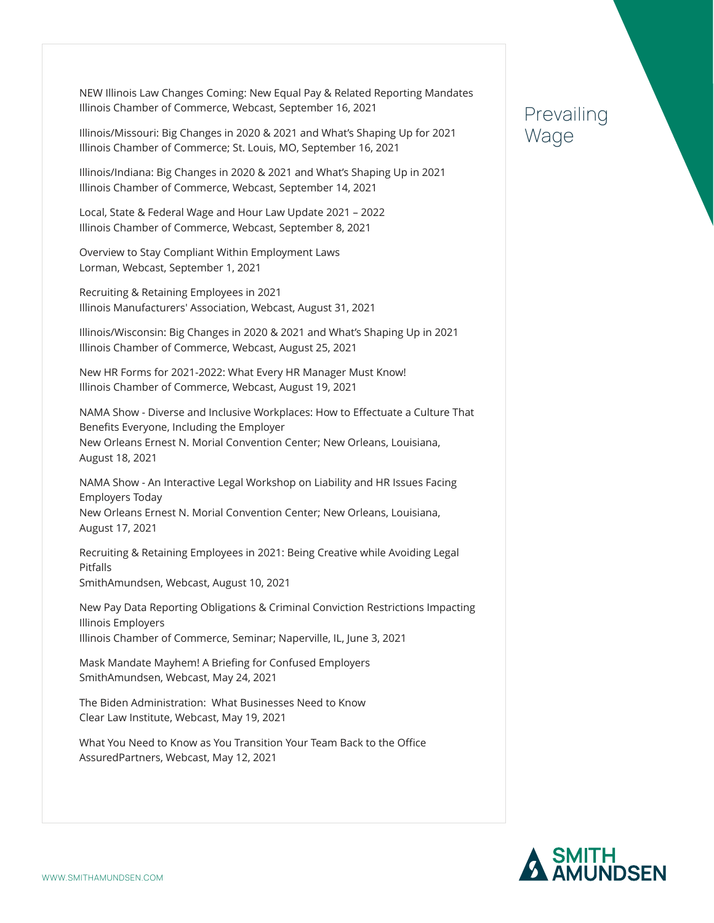NEW Illinois Law Changes Coming: New Equal Pay & Related Reporting Mandates Illinois Chamber of Commerce, Webcast, September 16, 2021

Illinois/Missouri: Big Changes in 2020 & 2021 and What's Shaping Up for 2021 Illinois Chamber of Commerce; St. Louis, MO, September 16, 2021

Illinois/Indiana: Big Changes in 2020 & 2021 and What's Shaping Up in 2021 Illinois Chamber of Commerce, Webcast, September 14, 2021

Local, State & Federal Wage and Hour Law Update 2021 – 2022 Illinois Chamber of Commerce, Webcast, September 8, 2021

Overview to Stay Compliant Within Employment Laws Lorman, Webcast, September 1, 2021

Recruiting & Retaining Employees in 2021 Illinois Manufacturers' Association, Webcast, August 31, 2021

Illinois/Wisconsin: Big Changes in 2020 & 2021 and What's Shaping Up in 2021 Illinois Chamber of Commerce, Webcast, August 25, 2021

New HR Forms for 2021-2022: What Every HR Manager Must Know! Illinois Chamber of Commerce, Webcast, August 19, 2021

NAMA Show - Diverse and Inclusive Workplaces: How to Effectuate a Culture That Benefits Everyone, Including the Employer New Orleans Ernest N. Morial Convention Center; New Orleans, Louisiana, August 18, 2021

NAMA Show - An Interactive Legal Workshop on Liability and HR Issues Facing Employers Today New Orleans Ernest N. Morial Convention Center; New Orleans, Louisiana, August 17, 2021

Recruiting & Retaining Employees in 2021: Being Creative while Avoiding Legal Pitfalls SmithAmundsen, Webcast, August 10, 2021

New Pay Data Reporting Obligations & Criminal Conviction Restrictions Impacting Illinois Employers Illinois Chamber of Commerce, Seminar; Naperville, IL, June 3, 2021

Mask Mandate Mayhem! A Briefing for Confused Employers SmithAmundsen, Webcast, May 24, 2021

The Biden Administration: What Businesses Need to Know Clear Law Institute, Webcast, May 19, 2021

What You Need to Know as You Transition Your Team Back to the Office AssuredPartners, Webcast, May 12, 2021

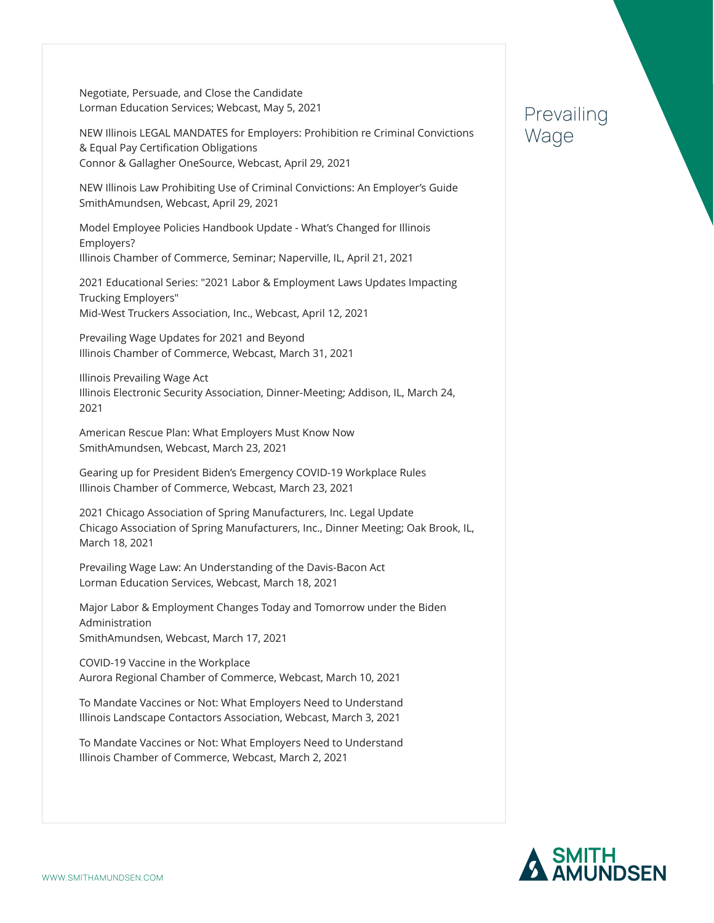Negotiate, Persuade, and Close the Candidate Lorman Education Services; Webcast, May 5, 2021

NEW Illinois LEGAL MANDATES for Employers: Prohibition re Criminal Convictions & Equal Pay Certification Obligations Connor & Gallagher OneSource, Webcast, April 29, 2021

NEW Illinois Law Prohibiting Use of Criminal Convictions: An Employer's Guide SmithAmundsen, Webcast, April 29, 2021

Model Employee Policies Handbook Update - What's Changed for Illinois Employers? Illinois Chamber of Commerce, Seminar; Naperville, IL, April 21, 2021

2021 Educational Series: "2021 Labor & Employment Laws Updates Impacting Trucking Employers" Mid-West Truckers Association, Inc., Webcast, April 12, 2021

Prevailing Wage Updates for 2021 and Beyond Illinois Chamber of Commerce, Webcast, March 31, 2021

Illinois Prevailing Wage Act Illinois Electronic Security Association, Dinner-Meeting; Addison, IL, March 24, 2021

American Rescue Plan: What Employers Must Know Now SmithAmundsen, Webcast, March 23, 2021

Gearing up for President Biden's Emergency COVID-19 Workplace Rules Illinois Chamber of Commerce, Webcast, March 23, 2021

2021 Chicago Association of Spring Manufacturers, Inc. Legal Update Chicago Association of Spring Manufacturers, Inc., Dinner Meeting; Oak Brook, IL, March 18, 2021

Prevailing Wage Law: An Understanding of the Davis-Bacon Act Lorman Education Services, Webcast, March 18, 2021

Major Labor & Employment Changes Today and Tomorrow under the Biden Administration SmithAmundsen, Webcast, March 17, 2021

COVID-19 Vaccine in the Workplace Aurora Regional Chamber of Commerce, Webcast, March 10, 2021

To Mandate Vaccines or Not: What Employers Need to Understand Illinois Landscape Contactors Association, Webcast, March 3, 2021

To Mandate Vaccines or Not: What Employers Need to Understand Illinois Chamber of Commerce, Webcast, March 2, 2021

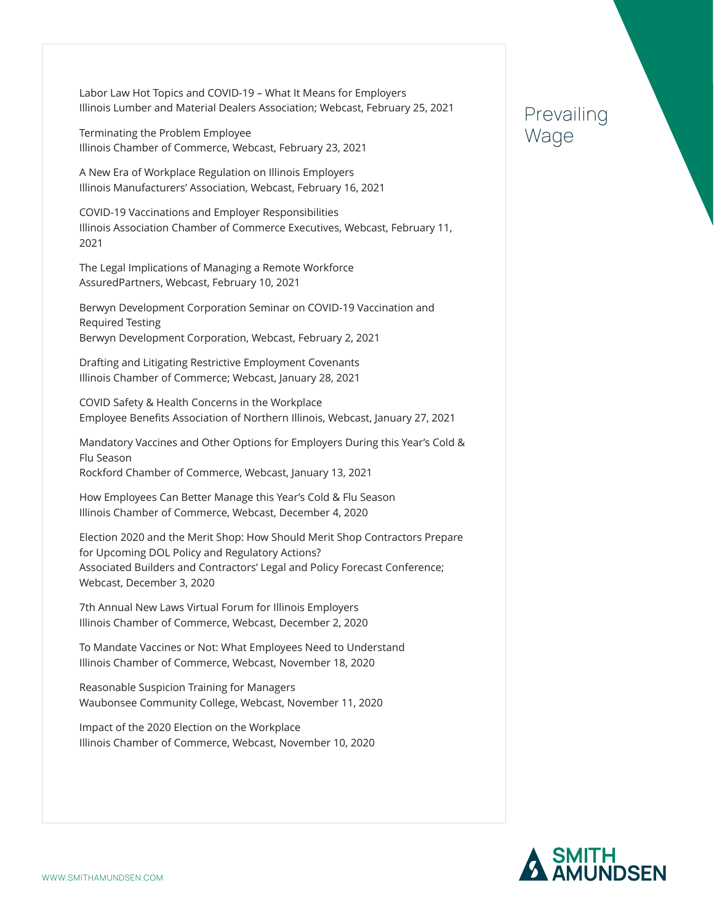Labor Law Hot Topics and COVID-19 – What It Means for Employers Illinois Lumber and Material Dealers Association; Webcast, February 25, 2021

Terminating the Problem Employee Illinois Chamber of Commerce, Webcast, February 23, 2021

A New Era of Workplace Regulation on Illinois Employers Illinois Manufacturers' Association, Webcast, February 16, 2021

COVID-19 Vaccinations and Employer Responsibilities Illinois Association Chamber of Commerce Executives, Webcast, February 11, 2021

The Legal Implications of Managing a Remote Workforce AssuredPartners, Webcast, February 10, 2021

Berwyn Development Corporation Seminar on COVID-19 Vaccination and Required Testing Berwyn Development Corporation, Webcast, February 2, 2021

Drafting and Litigating Restrictive Employment Covenants Illinois Chamber of Commerce; Webcast, January 28, 2021

COVID Safety & Health Concerns in the Workplace Employee Benefits Association of Northern Illinois, Webcast, January 27, 2021

Mandatory Vaccines and Other Options for Employers During this Year's Cold & Flu Season Rockford Chamber of Commerce, Webcast, January 13, 2021

How Employees Can Better Manage this Year's Cold & Flu Season Illinois Chamber of Commerce, Webcast, December 4, 2020

Election 2020 and the Merit Shop: How Should Merit Shop Contractors Prepare for Upcoming DOL Policy and Regulatory Actions? Associated Builders and Contractors' Legal and Policy Forecast Conference; Webcast, December 3, 2020

7th Annual New Laws Virtual Forum for Illinois Employers Illinois Chamber of Commerce, Webcast, December 2, 2020

To Mandate Vaccines or Not: What Employees Need to Understand Illinois Chamber of Commerce, Webcast, November 18, 2020

Reasonable Suspicion Training for Managers Waubonsee Community College, Webcast, November 11, 2020

Impact of the 2020 Election on the Workplace Illinois Chamber of Commerce, Webcast, November 10, 2020

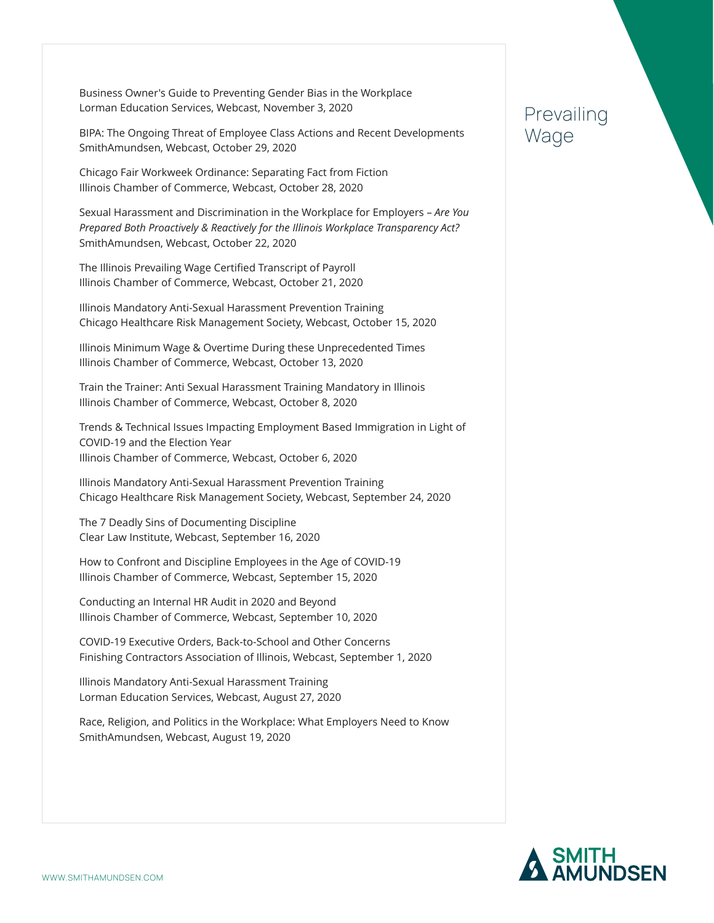Business Owner's Guide to Preventing Gender Bias in the Workplace Lorman Education Services, Webcast, November 3, 2020

BIPA: The Ongoing Threat of Employee Class Actions and Recent Developments SmithAmundsen, Webcast, October 29, 2020

Chicago Fair Workweek Ordinance: Separating Fact from Fiction Illinois Chamber of Commerce, Webcast, October 28, 2020

Sexual Harassment and Discrimination in the Workplace for Employers – *Are You Prepared Both Proactively & Reactively for the Illinois Workplace Transparency Act?* SmithAmundsen, Webcast, October 22, 2020

The Illinois Prevailing Wage Certified Transcript of Payroll Illinois Chamber of Commerce, Webcast, October 21, 2020

Illinois Mandatory Anti-Sexual Harassment Prevention Training Chicago Healthcare Risk Management Society, Webcast, October 15, 2020

Illinois Minimum Wage & Overtime During these Unprecedented Times Illinois Chamber of Commerce, Webcast, October 13, 2020

Train the Trainer: Anti Sexual Harassment Training Mandatory in Illinois Illinois Chamber of Commerce, Webcast, October 8, 2020

Trends & Technical Issues Impacting Employment Based Immigration in Light of COVID-19 and the Election Year Illinois Chamber of Commerce, Webcast, October 6, 2020

Illinois Mandatory Anti-Sexual Harassment Prevention Training Chicago Healthcare Risk Management Society, Webcast, September 24, 2020

The 7 Deadly Sins of Documenting Discipline Clear Law Institute, Webcast, September 16, 2020

How to Confront and Discipline Employees in the Age of COVID-19 Illinois Chamber of Commerce, Webcast, September 15, 2020

Conducting an Internal HR Audit in 2020 and Beyond Illinois Chamber of Commerce, Webcast, September 10, 2020

COVID-19 Executive Orders, Back-to-School and Other Concerns Finishing Contractors Association of Illinois, Webcast, September 1, 2020

Illinois Mandatory Anti-Sexual Harassment Training Lorman Education Services, Webcast, August 27, 2020

Race, Religion, and Politics in the Workplace: What Employers Need to Know SmithAmundsen, Webcast, August 19, 2020

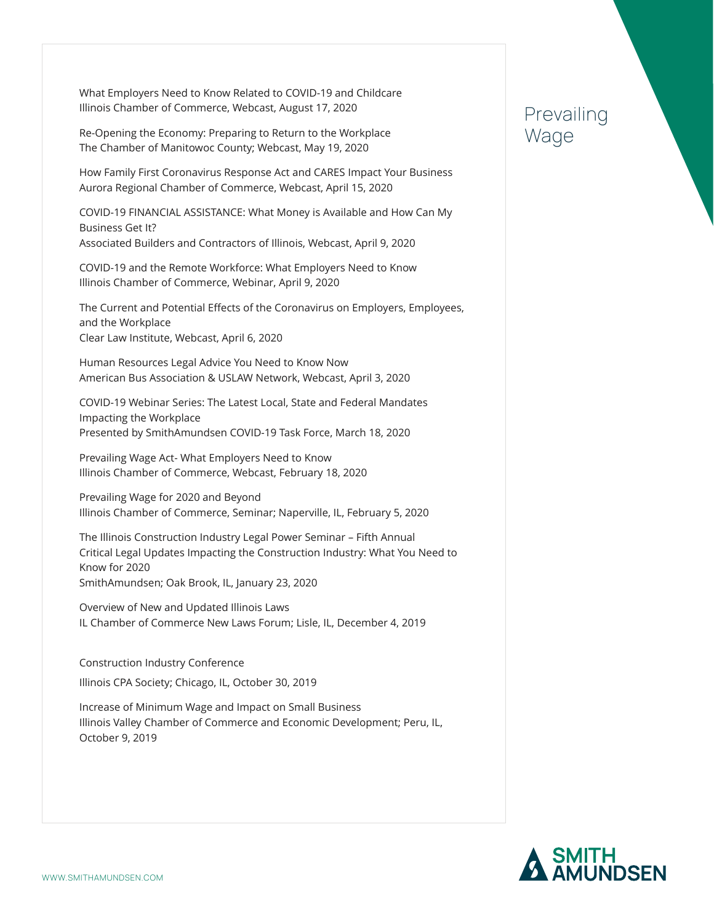What Employers Need to Know Related to COVID-19 and Childcare Illinois Chamber of Commerce, Webcast, August 17, 2020

Re-Opening the Economy: Preparing to Return to the Workplace The Chamber of Manitowoc County; Webcast, May 19, 2020

How Family First Coronavirus Response Act and CARES Impact Your Business Aurora Regional Chamber of Commerce, Webcast, April 15, 2020

COVID-19 FINANCIAL ASSISTANCE: What Money is Available and How Can My Business Get It? Associated Builders and Contractors of Illinois, Webcast, April 9, 2020

COVID-19 and the Remote Workforce: What Employers Need to Know Illinois Chamber of Commerce, Webinar, April 9, 2020

The Current and Potential Effects of the Coronavirus on Employers, Employees, and the Workplace Clear Law Institute, Webcast, April 6, 2020

Human Resources Legal Advice You Need to Know Now American Bus Association & USLAW Network, Webcast, April 3, 2020

COVID-19 Webinar Series: The Latest Local, State and Federal Mandates Impacting the Workplace Presented by SmithAmundsen COVID-19 Task Force, March 18, 2020

Prevailing Wage Act- What Employers Need to Know Illinois Chamber of Commerce, Webcast, February 18, 2020

Prevailing Wage for 2020 and Beyond Illinois Chamber of Commerce, Seminar; Naperville, IL, February 5, 2020

The Illinois Construction Industry Legal Power Seminar – Fifth Annual Critical Legal Updates Impacting the Construction Industry: What You Need to Know for 2020 SmithAmundsen; Oak Brook, IL, January 23, 2020

Overview of New and Updated Illinois Laws IL Chamber of Commerce New Laws Forum; Lisle, IL, December 4, 2019

Construction Industry Conference Illinois CPA Society; Chicago, IL, October 30, 2019

Increase of Minimum Wage and Impact on Small Business Illinois Valley Chamber of Commerce and Economic Development; Peru, IL, October 9, 2019

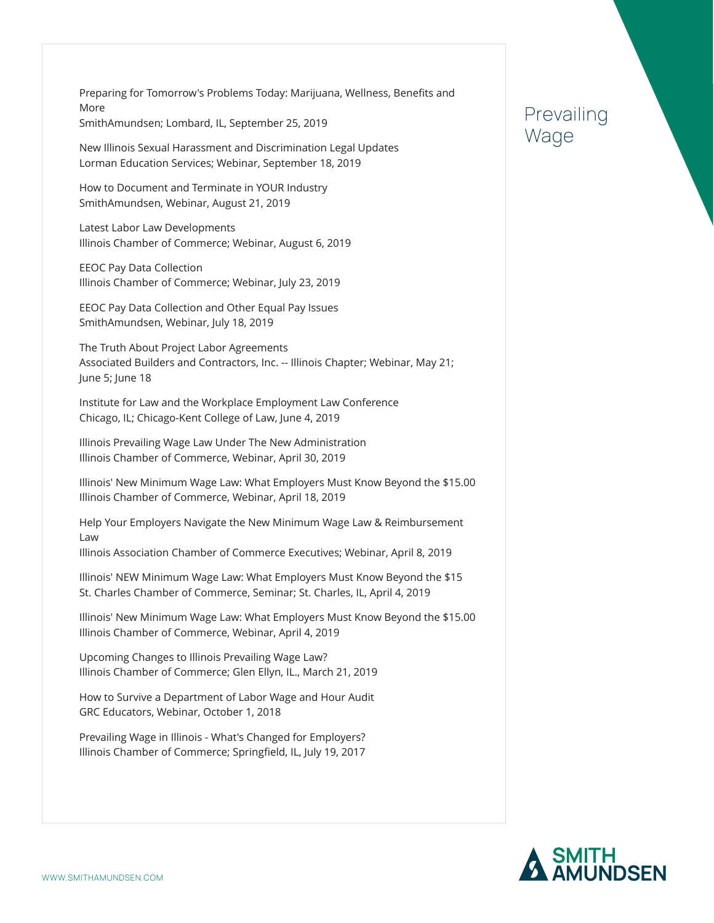Preparing for Tomorrow's Problems Today: Marijuana, Wellness, Benefits and More SmithAmundsen; Lombard, IL, September 25, 2019

New Illinois Sexual Harassment and Discrimination Legal Updates Lorman Education Services; Webinar, September 18, 2019

How to Document and Terminate in YOUR Industry SmithAmundsen, Webinar, August 21, 2019

Latest Labor Law Developments Illinois Chamber of Commerce; Webinar, August 6, 2019

EEOC Pay Data Collection Illinois Chamber of Commerce; Webinar, July 23, 2019

EEOC Pay Data Collection and Other Equal Pay Issues SmithAmundsen, Webinar, July 18, 2019

The Truth About Project Labor Agreements Associated Builders and Contractors, Inc. -- Illinois Chapter; Webinar, May 21; June 5; June 18

Institute for Law and the Workplace Employment Law Conference Chicago, IL; Chicago-Kent College of Law, June 4, 2019

Illinois Prevailing Wage Law Under The New Administration Illinois Chamber of Commerce, Webinar, April 30, 2019

Illinois' New Minimum Wage Law: What Employers Must Know Beyond the \$15.00 Illinois Chamber of Commerce, Webinar, April 18, 2019

Help Your Employers Navigate the New Minimum Wage Law & Reimbursement Law

Illinois Association Chamber of Commerce Executives; Webinar, April 8, 2019

Illinois' NEW Minimum Wage Law: What Employers Must Know Beyond the \$15 St. Charles Chamber of Commerce, Seminar; St. Charles, IL, April 4, 2019

Illinois' New Minimum Wage Law: What Employers Must Know Beyond the \$15.00 Illinois Chamber of Commerce, Webinar, April 4, 2019

Upcoming Changes to Illinois Prevailing Wage Law? Illinois Chamber of Commerce; Glen Ellyn, IL., March 21, 2019

How to Survive a Department of Labor Wage and Hour Audit GRC Educators, Webinar, October 1, 2018

Prevailing Wage in Illinois - What's Changed for Employers? Illinois Chamber of Commerce; Springfield, IL, July 19, 2017

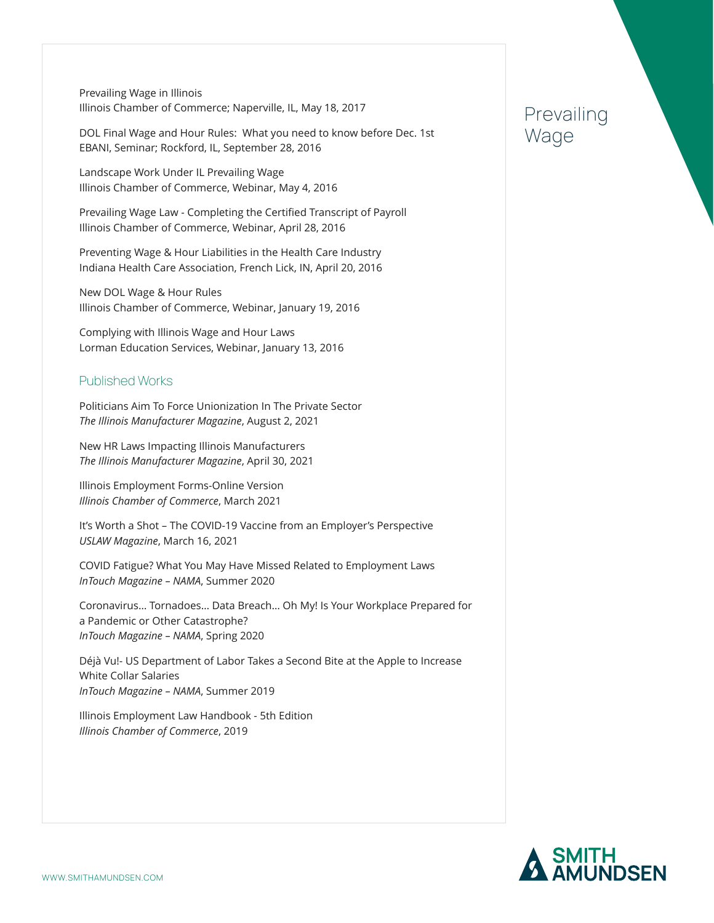Prevailing Wage in Illinois Illinois Chamber of Commerce; Naperville, IL, May 18, 2017

DOL Final Wage and Hour Rules: What you need to know before Dec. 1st EBANI, Seminar; Rockford, IL, September 28, 2016

Landscape Work Under IL Prevailing Wage Illinois Chamber of Commerce, Webinar, May 4, 2016

Prevailing Wage Law - Completing the Certified Transcript of Payroll Illinois Chamber of Commerce, Webinar, April 28, 2016

Preventing Wage & Hour Liabilities in the Health Care Industry Indiana Health Care Association, French Lick, IN, April 20, 2016

New DOL Wage & Hour Rules Illinois Chamber of Commerce, Webinar, January 19, 2016

Complying with Illinois Wage and Hour Laws Lorman Education Services, Webinar, January 13, 2016

#### Published Works

Politicians Aim To Force Unionization In The Private Sector *The Illinois Manufacturer Magazine*, August 2, 2021

New HR Laws Impacting Illinois Manufacturers *The Illinois Manufacturer Magazine*, April 30, 2021

Illinois Employment Forms-Online Version *Illinois Chamber of Commerce*, March 2021

It's Worth a Shot – The COVID-19 Vaccine from an Employer's Perspective *USLAW Magazine*, March 16, 2021

COVID Fatigue? What You May Have Missed Related to Employment Laws *InTouch Magazine – NAMA*, Summer 2020

Coronavirus… Tornadoes… Data Breach… Oh My! Is Your Workplace Prepared for a Pandemic or Other Catastrophe? *InTouch Magazine – NAMA*, Spring 2020

Déjà Vu!- US Department of Labor Takes a Second Bite at the Apple to Increase White Collar Salaries *InTouch Magazine – NAMA*, Summer 2019

Illinois Employment Law Handbook - 5th Edition *Illinois Chamber of Commerce*, 2019

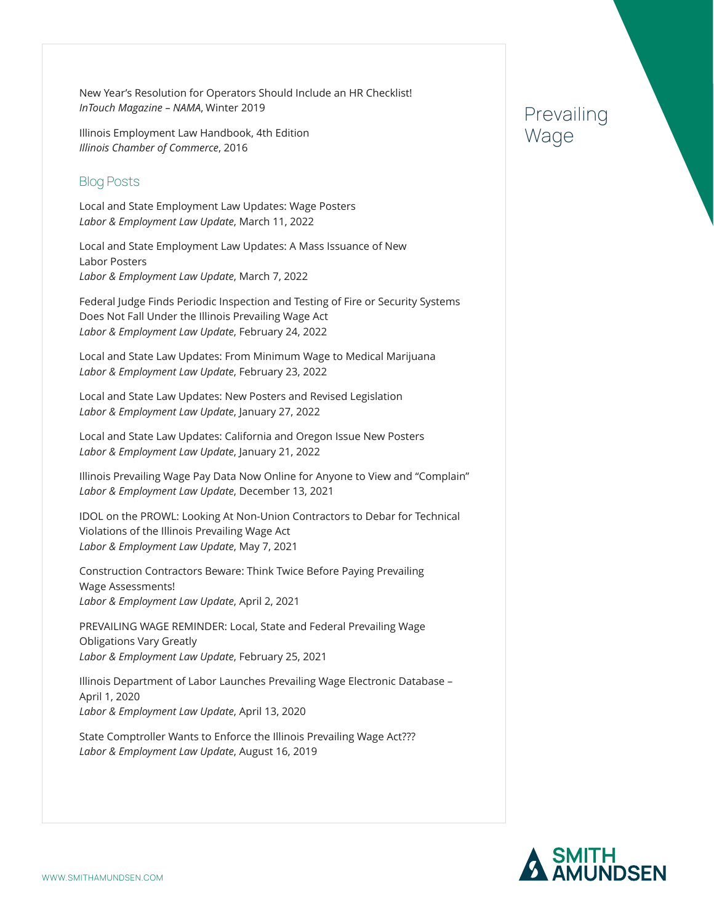New Year's Resolution for Operators Should Include an HR Checklist! *InTouch Magazine – NAMA*, Winter 2019

Illinois Employment Law Handbook, 4th Edition *Illinois Chamber of Commerce*, 2016

### Blog Posts

Local and State Employment Law Updates: Wage Posters *Labor & Employment Law Update*, March 11, 2022

Local and State Employment Law Updates: A Mass Issuance of New Labor Posters *Labor & Employment Law Update*, March 7, 2022

Federal Judge Finds Periodic Inspection and Testing of Fire or Security Systems Does Not Fall Under the Illinois Prevailing Wage Act *Labor & Employment Law Update*, February 24, 2022

Local and State Law Updates: From Minimum Wage to Medical Marijuana *Labor & Employment Law Update*, February 23, 2022

Local and State Law Updates: New Posters and Revised Legislation *Labor & Employment Law Update*, January 27, 2022

Local and State Law Updates: California and Oregon Issue New Posters *Labor & Employment Law Update*, January 21, 2022

Illinois Prevailing Wage Pay Data Now Online for Anyone to View and "Complain" *Labor & Employment Law Update*, December 13, 2021

IDOL on the PROWL: Looking At Non-Union Contractors to Debar for Technical Violations of the Illinois Prevailing Wage Act *Labor & Employment Law Update*, May 7, 2021

Construction Contractors Beware: Think Twice Before Paying Prevailing Wage Assessments! *Labor & Employment Law Update*, April 2, 2021

PREVAILING WAGE REMINDER: Local, State and Federal Prevailing Wage Obligations Vary Greatly *Labor & Employment Law Update*, February 25, 2021

Illinois Department of Labor Launches Prevailing Wage Electronic Database – April 1, 2020 *Labor & Employment Law Update*, April 13, 2020

State Comptroller Wants to Enforce the Illinois Prevailing Wage Act??? *Labor & Employment Law Update*, August 16, 2019